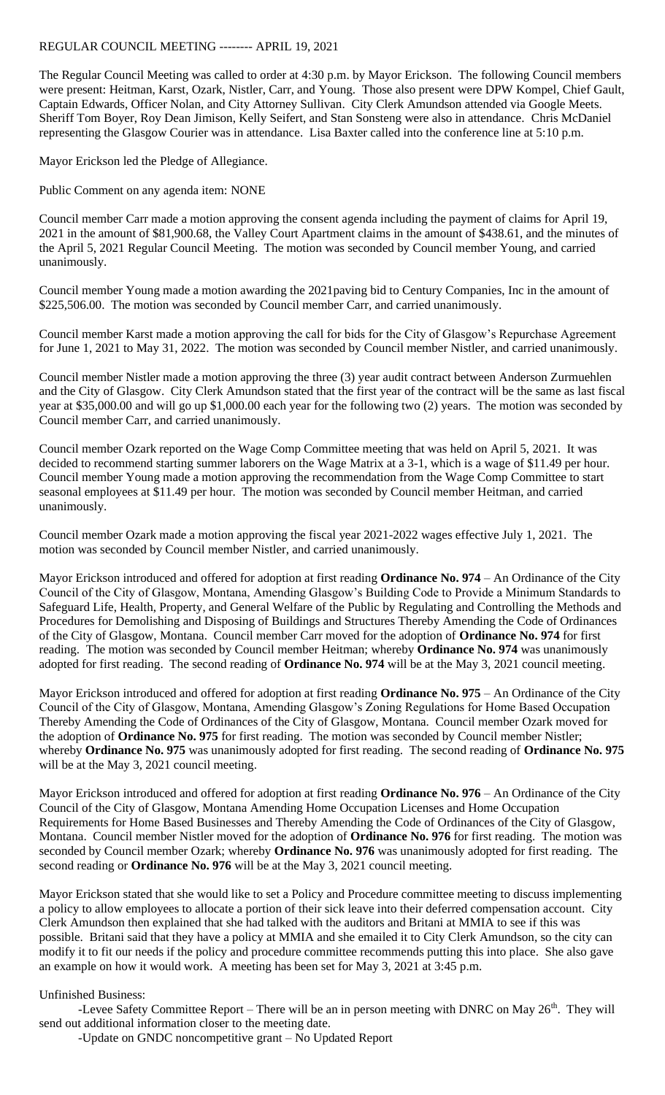## REGULAR COUNCIL MEETING -------- APRIL 19, 2021

The Regular Council Meeting was called to order at 4:30 p.m. by Mayor Erickson. The following Council members were present: Heitman, Karst, Ozark, Nistler, Carr, and Young. Those also present were DPW Kompel, Chief Gault, Captain Edwards, Officer Nolan, and City Attorney Sullivan. City Clerk Amundson attended via Google Meets. Sheriff Tom Boyer, Roy Dean Jimison, Kelly Seifert, and Stan Sonsteng were also in attendance. Chris McDaniel representing the Glasgow Courier was in attendance. Lisa Baxter called into the conference line at 5:10 p.m.

Mayor Erickson led the Pledge of Allegiance.

Public Comment on any agenda item: NONE

Council member Carr made a motion approving the consent agenda including the payment of claims for April 19, 2021 in the amount of \$81,900.68, the Valley Court Apartment claims in the amount of \$438.61, and the minutes of the April 5, 2021 Regular Council Meeting. The motion was seconded by Council member Young, and carried unanimously.

Council member Young made a motion awarding the 2021paving bid to Century Companies, Inc in the amount of \$225,506.00. The motion was seconded by Council member Carr, and carried unanimously.

Council member Karst made a motion approving the call for bids for the City of Glasgow's Repurchase Agreement for June 1, 2021 to May 31, 2022. The motion was seconded by Council member Nistler, and carried unanimously.

Council member Nistler made a motion approving the three (3) year audit contract between Anderson Zurmuehlen and the City of Glasgow. City Clerk Amundson stated that the first year of the contract will be the same as last fiscal year at \$35,000.00 and will go up \$1,000.00 each year for the following two (2) years. The motion was seconded by Council member Carr, and carried unanimously.

Council member Ozark reported on the Wage Comp Committee meeting that was held on April 5, 2021. It was decided to recommend starting summer laborers on the Wage Matrix at a 3-1, which is a wage of \$11.49 per hour. Council member Young made a motion approving the recommendation from the Wage Comp Committee to start seasonal employees at \$11.49 per hour. The motion was seconded by Council member Heitman, and carried unanimously.

Council member Ozark made a motion approving the fiscal year 2021-2022 wages effective July 1, 2021. The motion was seconded by Council member Nistler, and carried unanimously.

Mayor Erickson introduced and offered for adoption at first reading **Ordinance No. 974** – An Ordinance of the City Council of the City of Glasgow, Montana, Amending Glasgow's Building Code to Provide a Minimum Standards to Safeguard Life, Health, Property, and General Welfare of the Public by Regulating and Controlling the Methods and Procedures for Demolishing and Disposing of Buildings and Structures Thereby Amending the Code of Ordinances of the City of Glasgow, Montana. Council member Carr moved for the adoption of **Ordinance No. 974** for first reading. The motion was seconded by Council member Heitman; whereby **Ordinance No. 974** was unanimously adopted for first reading. The second reading of **Ordinance No. 974** will be at the May 3, 2021 council meeting.

Mayor Erickson introduced and offered for adoption at first reading **Ordinance No. 975** – An Ordinance of the City Council of the City of Glasgow, Montana, Amending Glasgow's Zoning Regulations for Home Based Occupation Thereby Amending the Code of Ordinances of the City of Glasgow, Montana. Council member Ozark moved for the adoption of **Ordinance No. 975** for first reading. The motion was seconded by Council member Nistler; whereby **Ordinance No. 975** was unanimously adopted for first reading. The second reading of **Ordinance No. 975** will be at the May 3, 2021 council meeting.

Mayor Erickson introduced and offered for adoption at first reading **Ordinance No. 976** – An Ordinance of the City Council of the City of Glasgow, Montana Amending Home Occupation Licenses and Home Occupation Requirements for Home Based Businesses and Thereby Amending the Code of Ordinances of the City of Glasgow, Montana. Council member Nistler moved for the adoption of **Ordinance No. 976** for first reading. The motion was seconded by Council member Ozark; whereby **Ordinance No. 976** was unanimously adopted for first reading. The second reading or **Ordinance No. 976** will be at the May 3, 2021 council meeting.

Mayor Erickson stated that she would like to set a Policy and Procedure committee meeting to discuss implementing a policy to allow employees to allocate a portion of their sick leave into their deferred compensation account. City Clerk Amundson then explained that she had talked with the auditors and Britani at MMIA to see if this was possible. Britani said that they have a policy at MMIA and she emailed it to City Clerk Amundson, so the city can modify it to fit our needs if the policy and procedure committee recommends putting this into place. She also gave an example on how it would work. A meeting has been set for May 3, 2021 at 3:45 p.m.

## Unfinished Business:

-Levee Safety Committee Report – There will be an in person meeting with DNRC on May  $26<sup>th</sup>$ . They will send out additional information closer to the meeting date.

-Update on GNDC noncompetitive grant – No Updated Report